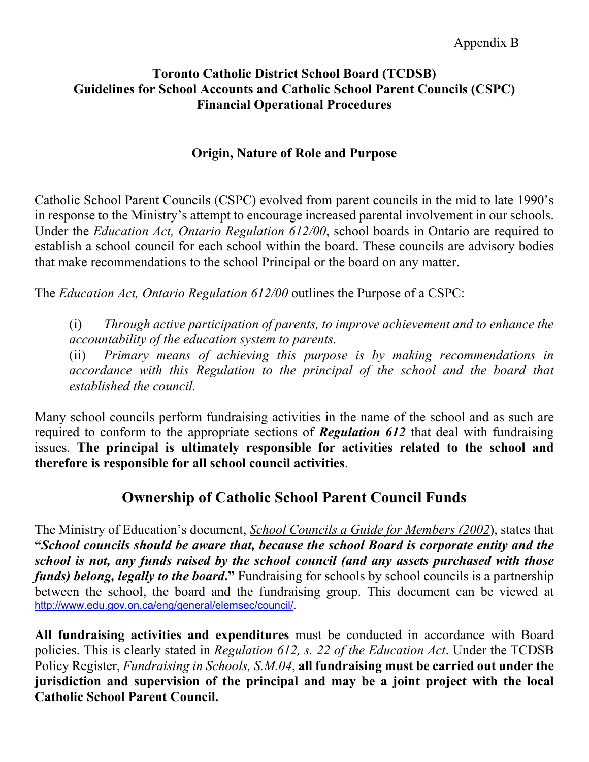### **Origin, Nature of Role and Purpose**

Catholic School Parent Councils (CSPC) evolved from parent councils in the mid to late 1990's in response to the Ministry's attempt to encourage increased parental involvement in our schools. Under the *Education Act, Ontario Regulation 612/00*, school boards in Ontario are required to establish a school council for each school within the board. These councils are advisory bodies that make recommendations to the school Principal or the board on any matter.

The *Education Act, Ontario Regulation 612/00* outlines the Purpose of a CSPC:

(i) *Through active participation of parents, to improve achievement and to enhance the accountability of the education system to parents.*

(ii) *Primary means of achieving this purpose is by making recommendations in accordance with this Regulation to the principal of the school and the board that established the council.*

Many school councils perform fundraising activities in the name of the school and as such are required to conform to the appropriate sections of *Regulation 612* that deal with fundraising issues. **The principal is ultimately responsible for activities related to the school and therefore is responsible for all school council activities**.

# **Ownership of Catholic School Parent Council Funds**

The Ministry of Education's document, *School Councils a Guide for Members (2002*), states that **"***School councils should be aware that, because the school Board is corporate entity and the school is not, any funds raised by the school council (and any assets purchased with those funds) belong, legally to the board***."** Fundraising for schools by school councils is a partnership between the school, the board and the fundraising group. This document can be viewed at [http://www.edu.gov.on.ca/eng/general/elemsec/council/.](http://www.edu.gov.on.ca/eng/general/elemsec/council/)

**All fundraising activities and expenditures** must be conducted in accordance with Board policies. This is clearly stated in *Regulation 612, s. 22 of the Education Act*. Under the TCDSB Policy Register, *Fundraising in Schools, S.M.04*, **all fundraising must be carried out under the jurisdiction and supervision of the principal and may be a joint project with the local Catholic School Parent Council.**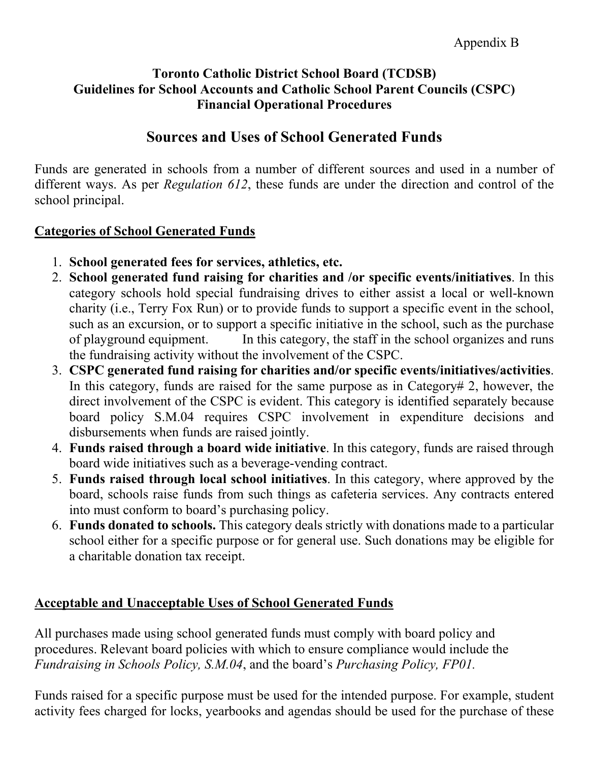# **Sources and Uses of School Generated Funds**

Funds are generated in schools from a number of different sources and used in a number of different ways. As per *Regulation 612*, these funds are under the direction and control of the school principal.

### **Categories of School Generated Funds**

- 1. **School generated fees for services, athletics, etc.**
- 2. **School generated fund raising for charities and /or specific events/initiatives**. In this category schools hold special fundraising drives to either assist a local or well-known charity (i.e., Terry Fox Run) or to provide funds to support a specific event in the school, such as an excursion, or to support a specific initiative in the school, such as the purchase of playground equipment. In this category, the staff in the school organizes and runs the fundraising activity without the involvement of the CSPC.
- 3. **CSPC generated fund raising for charities and/or specific events/initiatives/activities**. In this category, funds are raised for the same purpose as in Category# 2, however, the direct involvement of the CSPC is evident. This category is identified separately because board policy S.M.04 requires CSPC involvement in expenditure decisions and disbursements when funds are raised jointly.
- 4. **Funds raised through a board wide initiative**. In this category, funds are raised through board wide initiatives such as a beverage-vending contract.
- 5. **Funds raised through local school initiatives**. In this category, where approved by the board, schools raise funds from such things as cafeteria services. Any contracts entered into must conform to board's purchasing policy.
- 6. **Funds donated to schools.** This category deals strictly with donations made to a particular school either for a specific purpose or for general use. Such donations may be eligible for a charitable donation tax receipt.

# **Acceptable and Unacceptable Uses of School Generated Funds**

All purchases made using school generated funds must comply with board policy and procedures. Relevant board policies with which to ensure compliance would include the *Fundraising in Schools Policy, S.M.04*, and the board's *Purchasing Policy, FP01.*

Funds raised for a specific purpose must be used for the intended purpose. For example, student activity fees charged for locks, yearbooks and agendas should be used for the purchase of these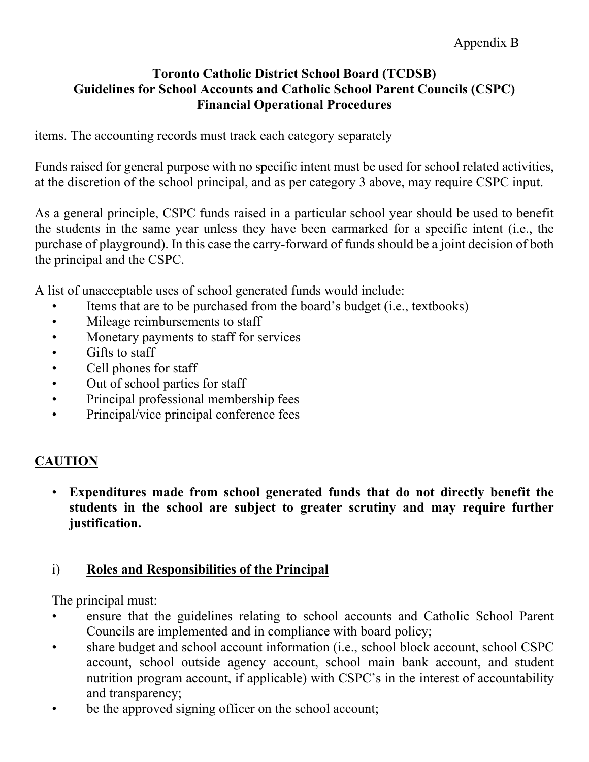items. The accounting records must track each category separately

Funds raised for general purpose with no specific intent must be used for school related activities, at the discretion of the school principal, and as per category 3 above, may require CSPC input.

As a general principle, CSPC funds raised in a particular school year should be used to benefit the students in the same year unless they have been earmarked for a specific intent (i.e., the purchase of playground). In this case the carry-forward of funds should be a joint decision of both the principal and the CSPC.

A list of unacceptable uses of school generated funds would include:

- Items that are to be purchased from the board's budget (i.e., textbooks)
- Mileage reimbursements to staff
- Monetary payments to staff for services
- Gifts to staff
- Cell phones for staff
- Out of school parties for staff
- Principal professional membership fees
- Principal/vice principal conference fees

### **CAUTION**

• **Expenditures made from school generated funds that do not directly benefit the students in the school are subject to greater scrutiny and may require further justification.**

#### i) **Roles and Responsibilities of the Principal**

The principal must:

- ensure that the guidelines relating to school accounts and Catholic School Parent Councils are implemented and in compliance with board policy;
- share budget and school account information (i.e., school block account, school CSPC account, school outside agency account, school main bank account, and student nutrition program account, if applicable) with CSPC's in the interest of accountability and transparency;
- be the approved signing officer on the school account;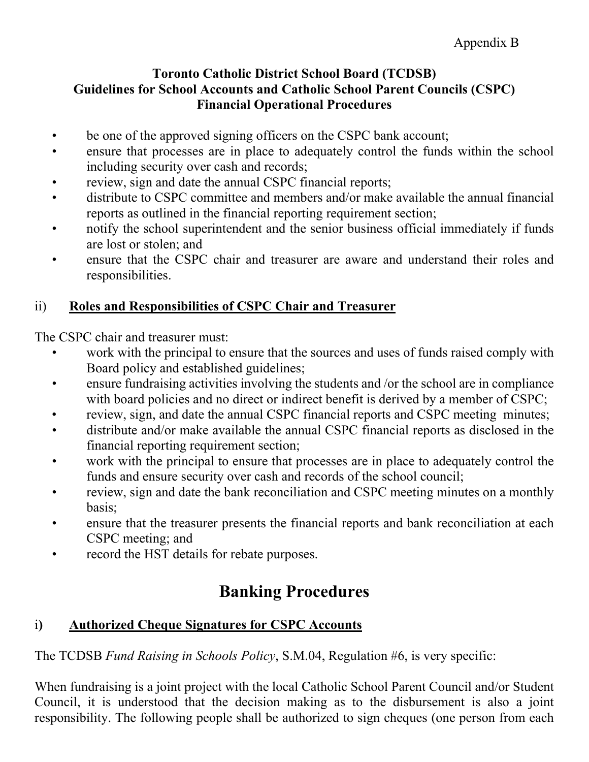- be one of the approved signing officers on the CSPC bank account;
- ensure that processes are in place to adequately control the funds within the school including security over cash and records;
- review, sign and date the annual CSPC financial reports;
- distribute to CSPC committee and members and/or make available the annual financial reports as outlined in the financial reporting requirement section;
- notify the school superintendent and the senior business official immediately if funds are lost or stolen; and
- ensure that the CSPC chair and treasurer are aware and understand their roles and responsibilities.

# ii) **Roles and Responsibilities of CSPC Chair and Treasurer**

The CSPC chair and treasurer must:

- work with the principal to ensure that the sources and uses of funds raised comply with Board policy and established guidelines;
- ensure fundraising activities involving the students and /or the school are in compliance with board policies and no direct or indirect benefit is derived by a member of CSPC;
- review, sign, and date the annual CSPC financial reports and CSPC meeting minutes;
- distribute and/or make available the annual CSPC financial reports as disclosed in the financial reporting requirement section;
- work with the principal to ensure that processes are in place to adequately control the funds and ensure security over cash and records of the school council;
- review, sign and date the bank reconciliation and CSPC meeting minutes on a monthly basis;
- ensure that the treasurer presents the financial reports and bank reconciliation at each CSPC meeting; and
- record the HST details for rebate purposes.

# **Banking Procedures**

# i**) Authorized Cheque Signatures for CSPC Accounts**

The TCDSB *Fund Raising in Schools Policy*, S.M.04, Regulation #6, is very specific:

When fundraising is a joint project with the local Catholic School Parent Council and/or Student Council, it is understood that the decision making as to the disbursement is also a joint responsibility. The following people shall be authorized to sign cheques (one person from each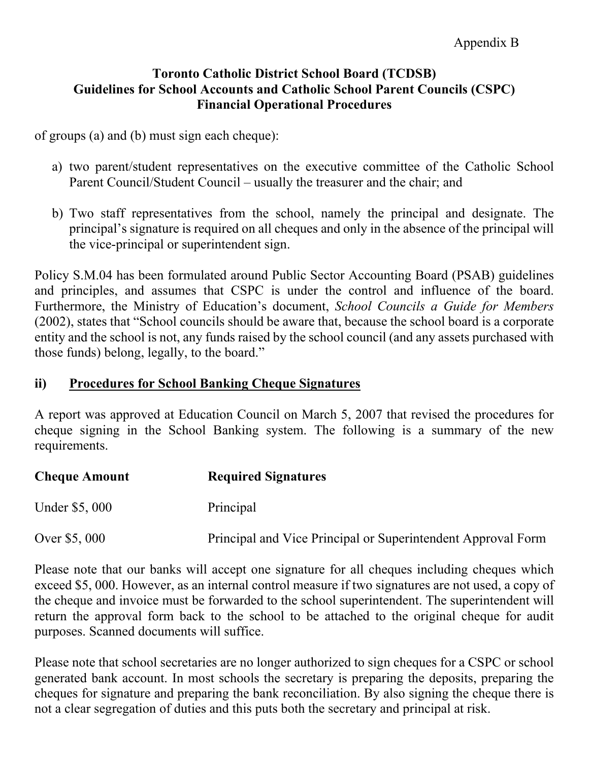of groups (a) and (b) must sign each cheque):

- a) two parent/student representatives on the executive committee of the Catholic School Parent Council/Student Council – usually the treasurer and the chair; and
- b) Two staff representatives from the school, namely the principal and designate. The principal's signature is required on all cheques and only in the absence of the principal will the vice-principal or superintendent sign.

Policy S.M.04 has been formulated around Public Sector Accounting Board (PSAB) guidelines and principles, and assumes that CSPC is under the control and influence of the board. Furthermore, the Ministry of Education's document, *School Councils a Guide for Members*  (2002), states that "School councils should be aware that, because the school board is a corporate entity and the school is not, any funds raised by the school council (and any assets purchased with those funds) belong, legally, to the board."

### **ii) Procedures for School Banking Cheque Signatures**

A report was approved at Education Council on March 5, 2007 that revised the procedures for cheque signing in the School Banking system. The following is a summary of the new requirements.

| <b>Cheque Amount</b> | <b>Required Signatures</b>                                   |
|----------------------|--------------------------------------------------------------|
| Under \$5,000        | Principal                                                    |
| Over \$5,000         | Principal and Vice Principal or Superintendent Approval Form |

Please note that our banks will accept one signature for all cheques including cheques which exceed \$5, 000. However, as an internal control measure if two signatures are not used, a copy of the cheque and invoice must be forwarded to the school superintendent. The superintendent will return the approval form back to the school to be attached to the original cheque for audit purposes. Scanned documents will suffice.

Please note that school secretaries are no longer authorized to sign cheques for a CSPC or school generated bank account. In most schools the secretary is preparing the deposits, preparing the cheques for signature and preparing the bank reconciliation. By also signing the cheque there is not a clear segregation of duties and this puts both the secretary and principal at risk.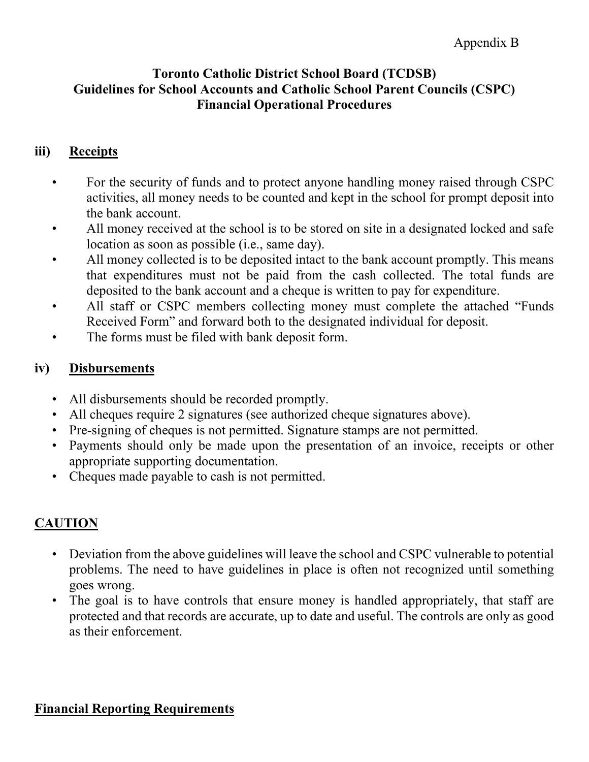# **iii) Receipts**

- For the security of funds and to protect anyone handling money raised through CSPC activities, all money needs to be counted and kept in the school for prompt deposit into the bank account.
- All money received at the school is to be stored on site in a designated locked and safe location as soon as possible (i.e., same day).
- All money collected is to be deposited intact to the bank account promptly. This means that expenditures must not be paid from the cash collected. The total funds are deposited to the bank account and a cheque is written to pay for expenditure.
- All staff or CSPC members collecting money must complete the attached "Funds" Received Form" and forward both to the designated individual for deposit.
- The forms must be filed with bank deposit form.

# **iv) Disbursements**

- All disbursements should be recorded promptly.
- All cheques require 2 signatures (see authorized cheque signatures above).
- Pre-signing of cheques is not permitted. Signature stamps are not permitted.
- Payments should only be made upon the presentation of an invoice, receipts or other appropriate supporting documentation.
- Cheques made payable to cash is not permitted.

# **CAUTION**

- Deviation from the above guidelines will leave the school and CSPC vulnerable to potential problems. The need to have guidelines in place is often not recognized until something goes wrong.
- The goal is to have controls that ensure money is handled appropriately, that staff are protected and that records are accurate, up to date and useful. The controls are only as good as their enforcement.

### **Financial Reporting Requirements**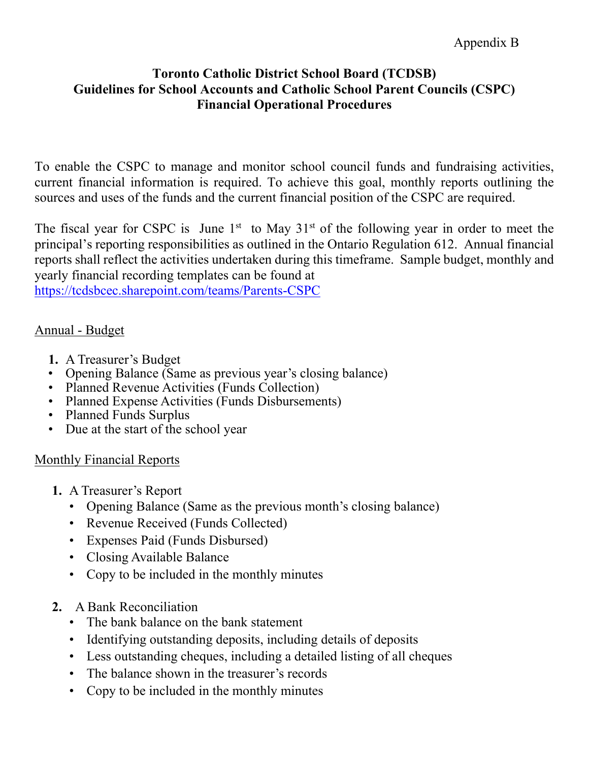To enable the CSPC to manage and monitor school council funds and fundraising activities, current financial information is required. To achieve this goal, monthly reports outlining the sources and uses of the funds and the current financial position of the CSPC are required.

The fiscal year for CSPC is June  $1<sup>st</sup>$  to May  $31<sup>st</sup>$  of the following year in order to meet the principal's reporting responsibilities as outlined in the Ontario Regulation 612. Annual financial reports shall reflect the activities undertaken during this timeframe. Sample budget, monthly and yearly financial recording templates can be found at

<https://tcdsbcec.sharepoint.com/teams/Parents-CSPC>

### Annual - Budget

- **1.** A Treasurer's Budget
- Opening Balance (Same as previous year's closing balance)
- Planned Revenue Activities (Funds Collection)
- Planned Expense Activities (Funds Disbursements)
- Planned Funds Surplus
- Due at the start of the school year

# Monthly Financial Reports

- **1.** A Treasurer's Report
	- Opening Balance (Same as the previous month's closing balance)
	- Revenue Received (Funds Collected)
	- Expenses Paid (Funds Disbursed)
	- Closing Available Balance
	- Copy to be included in the monthly minutes
- **2.** A Bank Reconciliation
	- The bank balance on the bank statement
	- Identifying outstanding deposits, including details of deposits
	- Less outstanding cheques, including a detailed listing of all cheques
	- The balance shown in the treasurer's records
	- Copy to be included in the monthly minutes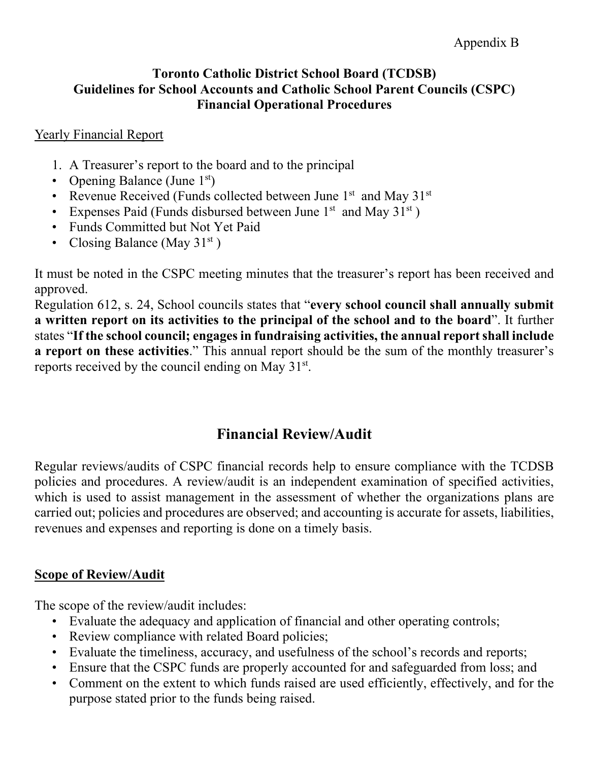### Yearly Financial Report

- 1. A Treasurer's report to the board and to the principal
- Opening Balance (June  $1<sup>st</sup>$ )
- Revenue Received (Funds collected between June  $1<sup>st</sup>$  and May  $31<sup>st</sup>$
- Expenses Paid (Funds disbursed between June  $1<sup>st</sup>$  and May  $31<sup>st</sup>$ )
- Funds Committed but Not Yet Paid
- Closing Balance (May  $31<sup>st</sup>$ )

It must be noted in the CSPC meeting minutes that the treasurer's report has been received and approved.

Regulation 612, s. 24, School councils states that "**every school council shall annually submit a written report on its activities to the principal of the school and to the board**". It further states "**If the school council; engages in fundraising activities, the annual report shall include a report on these activities**." This annual report should be the sum of the monthly treasurer's reports received by the council ending on May  $31<sup>st</sup>$ .

# **Financial Review/Audit**

Regular reviews/audits of CSPC financial records help to ensure compliance with the TCDSB policies and procedures. A review/audit is an independent examination of specified activities, which is used to assist management in the assessment of whether the organizations plans are carried out; policies and procedures are observed; and accounting is accurate for assets, liabilities, revenues and expenses and reporting is done on a timely basis.

# **Scope of Review/Audit**

The scope of the review/audit includes:

- Evaluate the adequacy and application of financial and other operating controls;
- Review compliance with related Board policies;
- Evaluate the timeliness, accuracy, and usefulness of the school's records and reports;
- Ensure that the CSPC funds are properly accounted for and safeguarded from loss; and
- Comment on the extent to which funds raised are used efficiently, effectively, and for the purpose stated prior to the funds being raised.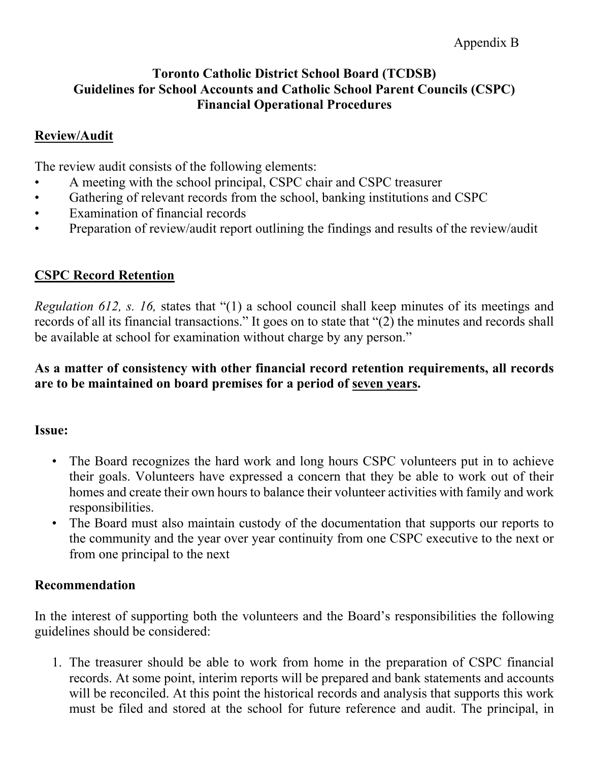### **Review/Audit**

The review audit consists of the following elements:

- A meeting with the school principal, CSPC chair and CSPC treasurer
- Gathering of relevant records from the school, banking institutions and CSPC
- Examination of financial records
- Preparation of review/audit report outlining the findings and results of the review/audit

# **CSPC Record Retention**

*Regulation 612, s. 16, states that* "(1) a school council shall keep minutes of its meetings and records of all its financial transactions." It goes on to state that "(2) the minutes and records shall be available at school for examination without charge by any person."

**As a matter of consistency with other financial record retention requirements, all records are to be maintained on board premises for a period of seven years.**

### **Issue:**

- The Board recognizes the hard work and long hours CSPC volunteers put in to achieve their goals. Volunteers have expressed a concern that they be able to work out of their homes and create their own hours to balance their volunteer activities with family and work responsibilities.
- The Board must also maintain custody of the documentation that supports our reports to the community and the year over year continuity from one CSPC executive to the next or from one principal to the next

# **Recommendation**

In the interest of supporting both the volunteers and the Board's responsibilities the following guidelines should be considered:

1. The treasurer should be able to work from home in the preparation of CSPC financial records. At some point, interim reports will be prepared and bank statements and accounts will be reconciled. At this point the historical records and analysis that supports this work must be filed and stored at the school for future reference and audit. The principal, in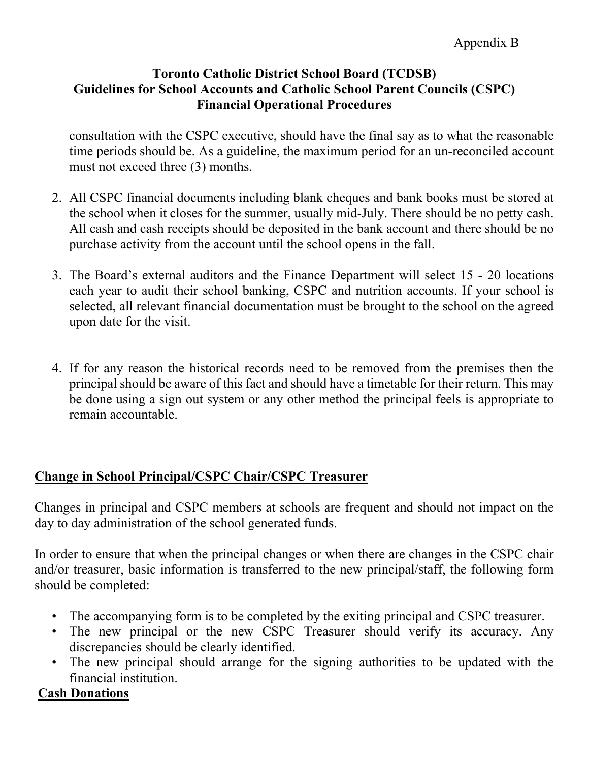consultation with the CSPC executive, should have the final say as to what the reasonable time periods should be. As a guideline, the maximum period for an un-reconciled account must not exceed three (3) months.

- 2. All CSPC financial documents including blank cheques and bank books must be stored at the school when it closes for the summer, usually mid-July. There should be no petty cash. All cash and cash receipts should be deposited in the bank account and there should be no purchase activity from the account until the school opens in the fall.
- 3. The Board's external auditors and the Finance Department will select 15 20 locations each year to audit their school banking, CSPC and nutrition accounts. If your school is selected, all relevant financial documentation must be brought to the school on the agreed upon date for the visit.
- 4. If for any reason the historical records need to be removed from the premises then the principal should be aware of this fact and should have a timetable for their return. This may be done using a sign out system or any other method the principal feels is appropriate to remain accountable.

# **Change in School Principal/CSPC Chair/CSPC Treasurer**

Changes in principal and CSPC members at schools are frequent and should not impact on the day to day administration of the school generated funds.

In order to ensure that when the principal changes or when there are changes in the CSPC chair and/or treasurer, basic information is transferred to the new principal/staff, the following form should be completed:

- The accompanying form is to be completed by the exiting principal and CSPC treasurer.
- The new principal or the new CSPC Treasurer should verify its accuracy. Any discrepancies should be clearly identified.
- The new principal should arrange for the signing authorities to be updated with the financial institution.

# **Cash Donations**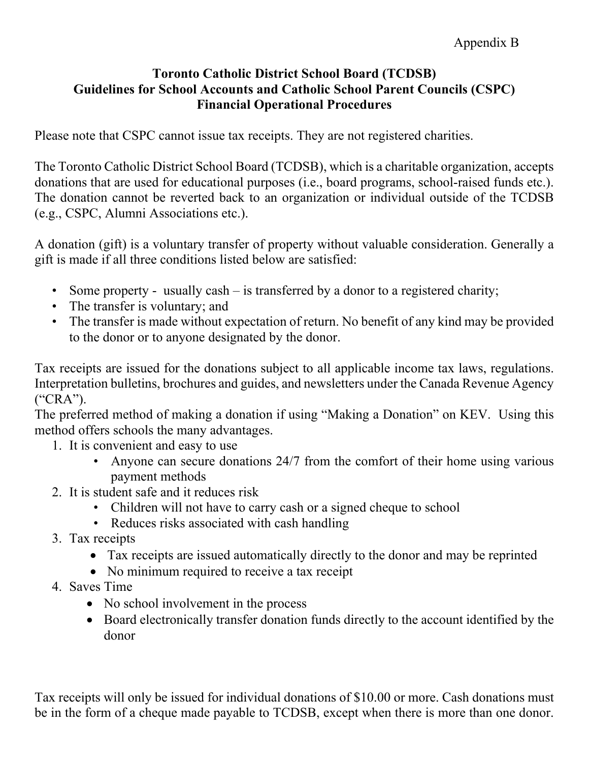Please note that CSPC cannot issue tax receipts. They are not registered charities.

The Toronto Catholic District School Board (TCDSB), which is a charitable organization, accepts donations that are used for educational purposes (i.e., board programs, school-raised funds etc.). The donation cannot be reverted back to an organization or individual outside of the TCDSB (e.g., CSPC, Alumni Associations etc.).

A donation (gift) is a voluntary transfer of property without valuable consideration. Generally a gift is made if all three conditions listed below are satisfied:

- Some property usually cash is transferred by a donor to a registered charity;
- The transfer is voluntary; and
- The transfer is made without expectation of return. No benefit of any kind may be provided to the donor or to anyone designated by the donor.

Tax receipts are issued for the donations subject to all applicable income tax laws, regulations. Interpretation bulletins, brochures and guides, and newsletters under the Canada Revenue Agency ("CRA").

The preferred method of making a donation if using "Making a Donation" on KEV. Using this method offers schools the many advantages.

- 1. It is convenient and easy to use
	- Anyone can secure donations 24/7 from the comfort of their home using various payment methods
- 2. It is student safe and it reduces risk
	- Children will not have to carry cash or a signed cheque to school
	- Reduces risks associated with cash handling
- 3. Tax receipts
	- Tax receipts are issued automatically directly to the donor and may be reprinted
	- No minimum required to receive a tax receipt
- 4. Saves Time
	- No school involvement in the process
	- Board electronically transfer donation funds directly to the account identified by the donor

Tax receipts will only be issued for individual donations of \$10.00 or more. Cash donations must be in the form of a cheque made payable to TCDSB, except when there is more than one donor.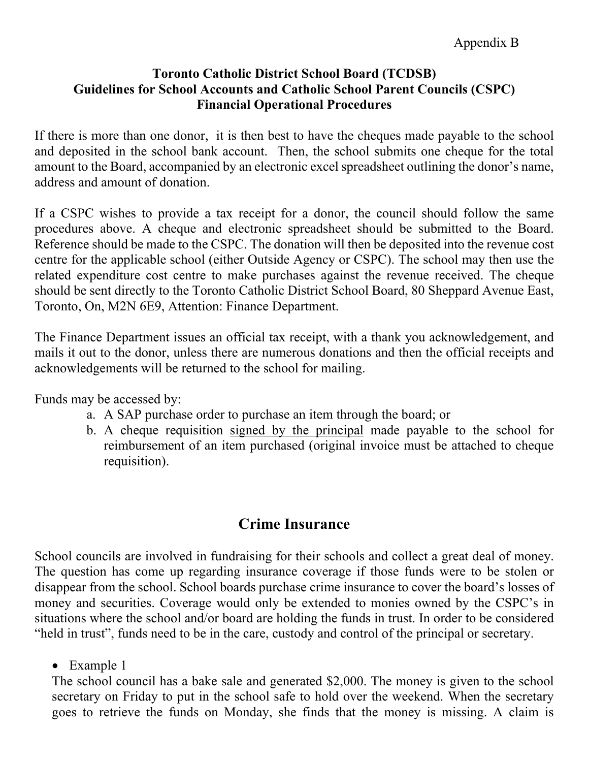If there is more than one donor, it is then best to have the cheques made payable to the school and deposited in the school bank account. Then, the school submits one cheque for the total amount to the Board, accompanied by an electronic excel spreadsheet outlining the donor's name, address and amount of donation.

If a CSPC wishes to provide a tax receipt for a donor, the council should follow the same procedures above. A cheque and electronic spreadsheet should be submitted to the Board. Reference should be made to the CSPC. The donation will then be deposited into the revenue cost centre for the applicable school (either Outside Agency or CSPC). The school may then use the related expenditure cost centre to make purchases against the revenue received. The cheque should be sent directly to the Toronto Catholic District School Board, 80 Sheppard Avenue East, Toronto, On, M2N 6E9, Attention: Finance Department.

The Finance Department issues an official tax receipt, with a thank you acknowledgement, and mails it out to the donor, unless there are numerous donations and then the official receipts and acknowledgements will be returned to the school for mailing.

Funds may be accessed by:

- a. A SAP purchase order to purchase an item through the board; or
- b. A cheque requisition signed by the principal made payable to the school for reimbursement of an item purchased (original invoice must be attached to cheque requisition).

# **Crime Insurance**

School councils are involved in fundraising for their schools and collect a great deal of money. The question has come up regarding insurance coverage if those funds were to be stolen or disappear from the school. School boards purchase crime insurance to cover the board's losses of money and securities. Coverage would only be extended to monies owned by the CSPC's in situations where the school and/or board are holding the funds in trust. In order to be considered "held in trust", funds need to be in the care, custody and control of the principal or secretary.

• Example 1

The school council has a bake sale and generated \$2,000. The money is given to the school secretary on Friday to put in the school safe to hold over the weekend. When the secretary goes to retrieve the funds on Monday, she finds that the money is missing. A claim is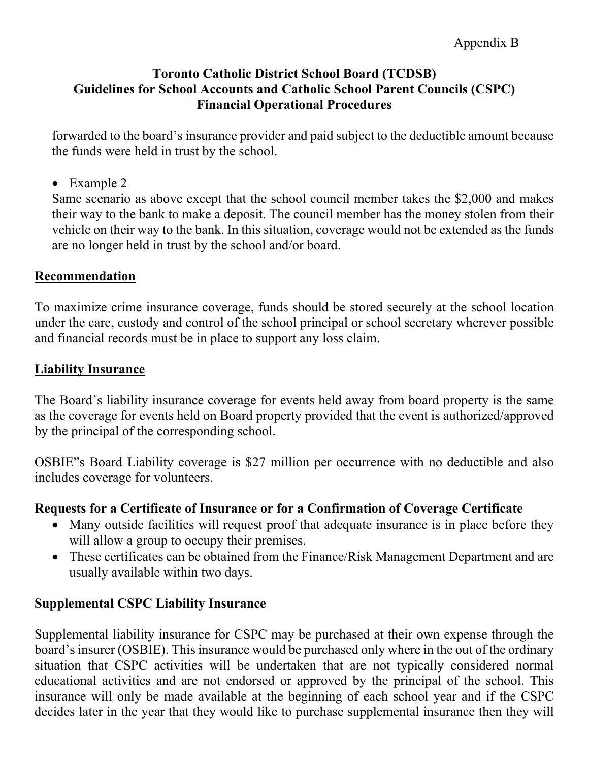forwarded to the board's insurance provider and paid subject to the deductible amount because the funds were held in trust by the school.

• Example 2

Same scenario as above except that the school council member takes the \$2,000 and makes their way to the bank to make a deposit. The council member has the money stolen from their vehicle on their way to the bank. In this situation, coverage would not be extended as the funds are no longer held in trust by the school and/or board.

### **Recommendation**

To maximize crime insurance coverage, funds should be stored securely at the school location under the care, custody and control of the school principal or school secretary wherever possible and financial records must be in place to support any loss claim.

# **Liability Insurance**

The Board's liability insurance coverage for events held away from board property is the same as the coverage for events held on Board property provided that the event is authorized/approved by the principal of the corresponding school.

OSBIE"s Board Liability coverage is \$27 million per occurrence with no deductible and also includes coverage for volunteers.

# **Requests for a Certificate of Insurance or for a Confirmation of Coverage Certificate**

- Many outside facilities will request proof that adequate insurance is in place before they will allow a group to occupy their premises.
- These certificates can be obtained from the Finance/Risk Management Department and are usually available within two days.

# **Supplemental CSPC Liability Insurance**

Supplemental liability insurance for CSPC may be purchased at their own expense through the board's insurer (OSBIE). This insurance would be purchased only where in the out of the ordinary situation that CSPC activities will be undertaken that are not typically considered normal educational activities and are not endorsed or approved by the principal of the school. This insurance will only be made available at the beginning of each school year and if the CSPC decides later in the year that they would like to purchase supplemental insurance then they will